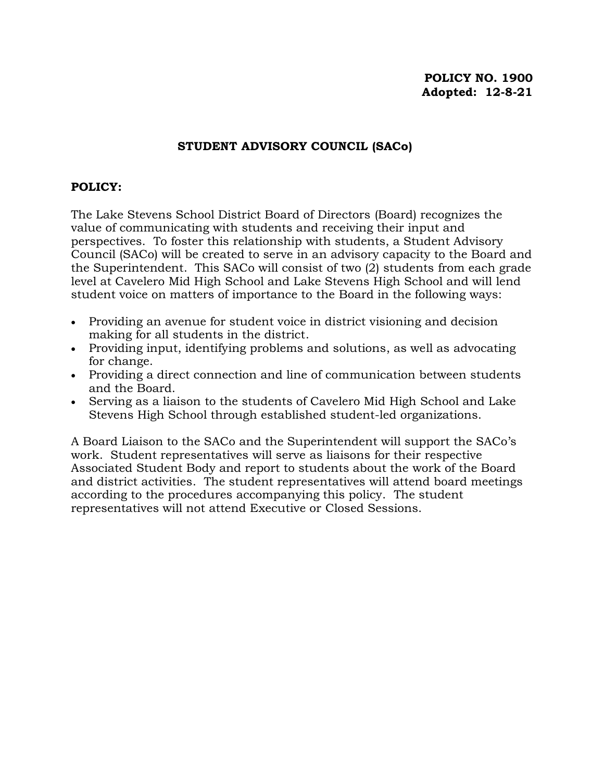### **STUDENT ADVISORY COUNCIL (SACo)**

#### **POLICY:**

The Lake Stevens School District Board of Directors (Board) recognizes the value of communicating with students and receiving their input and perspectives. To foster this relationship with students, a Student Advisory Council (SACo) will be created to serve in an advisory capacity to the Board and the Superintendent. This SACo will consist of two (2) students from each grade level at Cavelero Mid High School and Lake Stevens High School and will lend student voice on matters of importance to the Board in the following ways:

- Providing an avenue for student voice in district visioning and decision making for all students in the district.
- Providing input, identifying problems and solutions, as well as advocating for change.
- Providing a direct connection and line of communication between students and the Board.
- Serving as a liaison to the students of Cavelero Mid High School and Lake Stevens High School through established student-led organizations.

A Board Liaison to the SACo and the Superintendent will support the SACo's work. Student representatives will serve as liaisons for their respective Associated Student Body and report to students about the work of the Board and district activities. The student representatives will attend board meetings according to the procedures accompanying this policy. The student representatives will not attend Executive or Closed Sessions.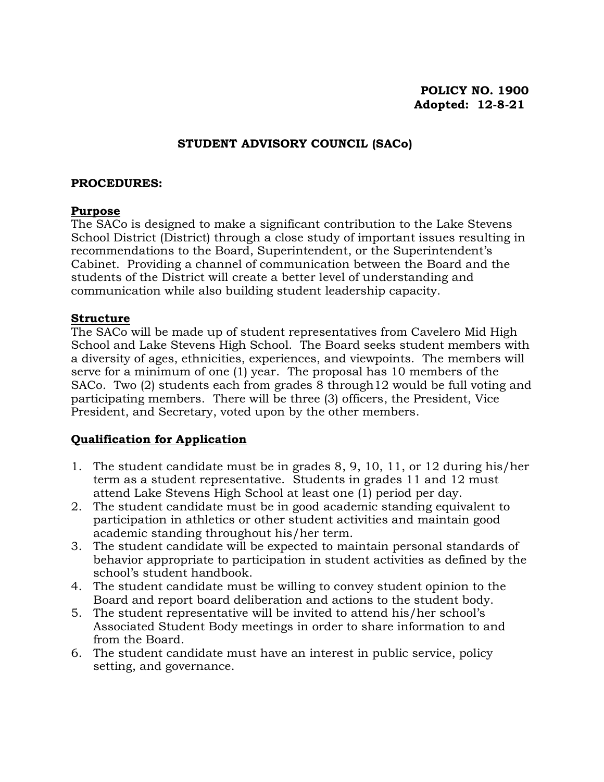### **STUDENT ADVISORY COUNCIL (SACo)**

#### **PROCEDURES:**

#### **Purpose**

The SACo is designed to make a significant contribution to the Lake Stevens School District (District) through a close study of important issues resulting in recommendations to the Board, Superintendent, or the Superintendent's Cabinet. Providing a channel of communication between the Board and the students of the District will create a better level of understanding and communication while also building student leadership capacity.

#### **Structure**

The SACo will be made up of student representatives from Cavelero Mid High School and Lake Stevens High School. The Board seeks student members with a diversity of ages, ethnicities, experiences, and viewpoints. The members will serve for a minimum of one (1) year. The proposal has 10 members of the SACo. Two (2) students each from grades 8 through12 would be full voting and participating members. There will be three (3) officers, the President, Vice President, and Secretary, voted upon by the other members.

#### **Qualification for Application**

- 1. The student candidate must be in grades 8, 9, 10, 11, or 12 during his/her term as a student representative. Students in grades 11 and 12 must attend Lake Stevens High School at least one (1) period per day.
- 2. The student candidate must be in good academic standing equivalent to participation in athletics or other student activities and maintain good academic standing throughout his/her term.
- 3. The student candidate will be expected to maintain personal standards of behavior appropriate to participation in student activities as defined by the school's student handbook.
- 4. The student candidate must be willing to convey student opinion to the Board and report board deliberation and actions to the student body.
- 5. The student representative will be invited to attend his/her school's Associated Student Body meetings in order to share information to and from the Board.
- 6. The student candidate must have an interest in public service, policy setting, and governance.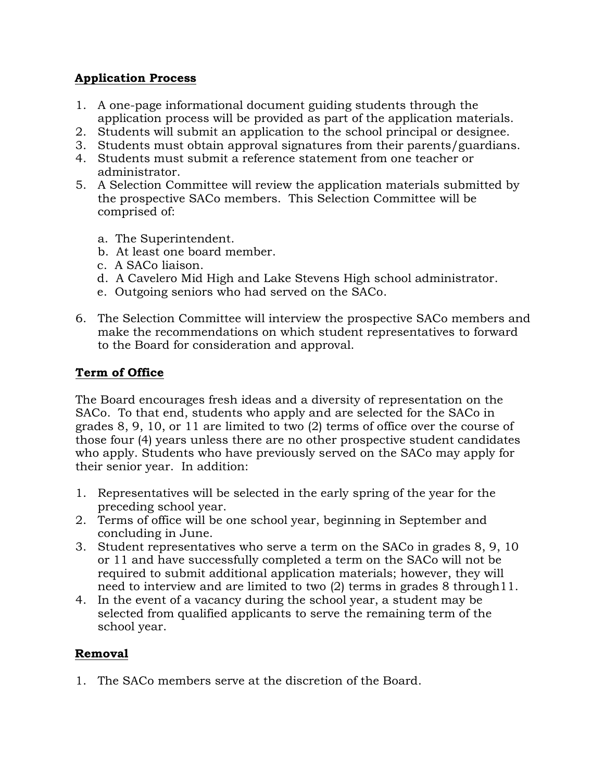## **Application Process**

- 1. A one-page informational document guiding students through the application process will be provided as part of the application materials.
- 2. Students will submit an application to the school principal or designee.
- 3. Students must obtain approval signatures from their parents/guardians.
- 4. Students must submit a reference statement from one teacher or administrator.
- 5. A Selection Committee will review the application materials submitted by the prospective SACo members. This Selection Committee will be comprised of:
	- a. The Superintendent.
	- b. At least one board member.
	- c. A SACo liaison.
	- d. A Cavelero Mid High and Lake Stevens High school administrator.
	- e. Outgoing seniors who had served on the SACo.
- 6. The Selection Committee will interview the prospective SACo members and make the recommendations on which student representatives to forward to the Board for consideration and approval.

## **Term of Office**

The Board encourages fresh ideas and a diversity of representation on the SACo. To that end, students who apply and are selected for the SACo in grades 8, 9, 10, or 11 are limited to two (2) terms of office over the course of those four (4) years unless there are no other prospective student candidates who apply. Students who have previously served on the SACo may apply for their senior year. In addition:

- 1. Representatives will be selected in the early spring of the year for the preceding school year.
- 2. Terms of office will be one school year, beginning in September and concluding in June.
- 3. Student representatives who serve a term on the SACo in grades 8, 9, 10 or 11 and have successfully completed a term on the SACo will not be required to submit additional application materials; however, they will need to interview and are limited to two (2) terms in grades 8 through11.
- 4. In the event of a vacancy during the school year, a student may be selected from qualified applicants to serve the remaining term of the school year.

# **Removal**

1. The SACo members serve at the discretion of the Board.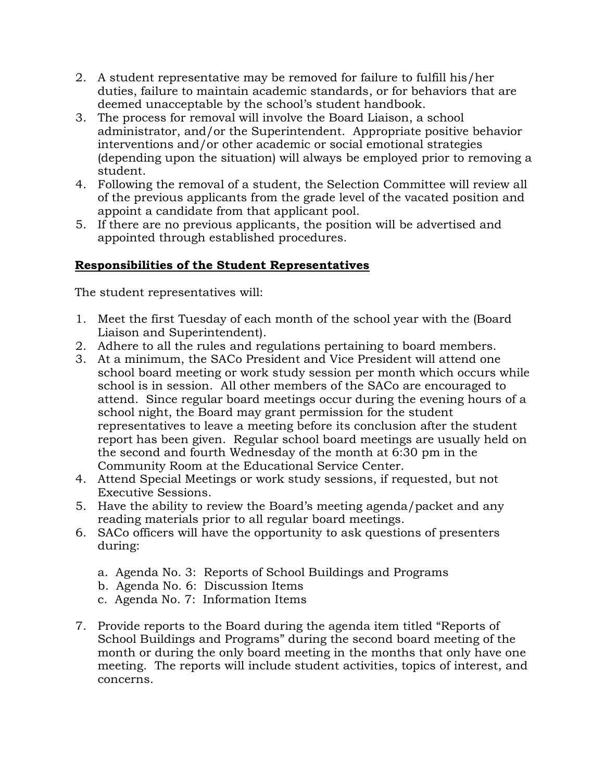- 2. A student representative may be removed for failure to fulfill his/her duties, failure to maintain academic standards, or for behaviors that are deemed unacceptable by the school's student handbook.
- 3. The process for removal will involve the Board Liaison, a school administrator, and/or the Superintendent. Appropriate positive behavior interventions and/or other academic or social emotional strategies (depending upon the situation) will always be employed prior to removing a student.
- 4. Following the removal of a student, the Selection Committee will review all of the previous applicants from the grade level of the vacated position and appoint a candidate from that applicant pool.
- 5. If there are no previous applicants, the position will be advertised and appointed through established procedures.

## **Responsibilities of the Student Representatives**

The student representatives will:

- 1. Meet the first Tuesday of each month of the school year with the (Board Liaison and Superintendent).
- 2. Adhere to all the rules and regulations pertaining to board members.
- 3. At a minimum, the SACo President and Vice President will attend one school board meeting or work study session per month which occurs while school is in session. All other members of the SACo are encouraged to attend. Since regular board meetings occur during the evening hours of a school night, the Board may grant permission for the student representatives to leave a meeting before its conclusion after the student report has been given. Regular school board meetings are usually held on the second and fourth Wednesday of the month at 6:30 pm in the Community Room at the Educational Service Center.
- 4. Attend Special Meetings or work study sessions, if requested, but not Executive Sessions.
- 5. Have the ability to review the Board's meeting agenda/packet and any reading materials prior to all regular board meetings.
- 6. SACo officers will have the opportunity to ask questions of presenters during:
	- a. Agenda No. 3: Reports of School Buildings and Programs
	- b. Agenda No. 6: Discussion Items
	- c. Agenda No. 7: Information Items
- 7. Provide reports to the Board during the agenda item titled "Reports of School Buildings and Programs" during the second board meeting of the month or during the only board meeting in the months that only have one meeting. The reports will include student activities, topics of interest, and concerns.